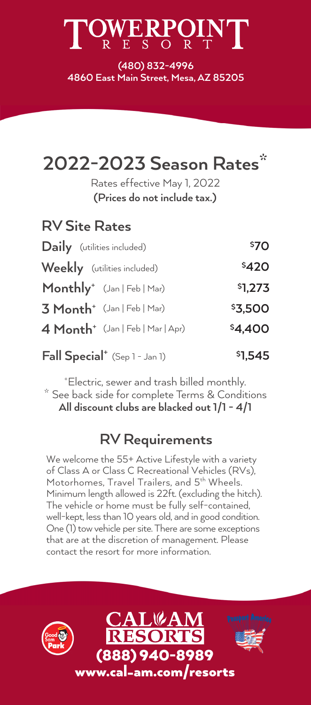## $\mathrm{WERPQIN}_{\mathrm{R- E-S-O-R- T}}$

**(480) 832-4996 4860 East Main Street, Mesa, AZ 85205**

| 2022-2023 Season Rates*<br>Rates effective May 1, 2022<br>(Prices do not include tax.) |         |
|----------------------------------------------------------------------------------------|---------|
| <b>RV Site Rates</b>                                                                   |         |
| <b>Daily</b> (utilities included)                                                      | \$70    |
| Weekly (utilities included)                                                            | \$420   |
| Monthly <sup>+</sup> (Jan   Feb   Mar)                                                 | \$1,273 |
| $3$ Month <sup>+</sup> (Jan   Feb   Mar)                                               | \$3,500 |
| $4$ Month <sup>+</sup> (Jan   Feb   Mar   Apr)                                         | \$4,400 |
| Fall Special <sup>+</sup> (Sep 1 - Jan 1)                                              | \$1,545 |

\* See back side for complete Terms & Conditions + Electric, sewer and trash billed monthly. **All discount clubs are blacked out 1/1 - 4/1**

#### **RV Requirements**

We welcome the 55+ Active Lifestyle with a variety of Class A or Class C Recreational Vehicles (RVs), Motorhomes, Travel Trailers, and 5<sup>th</sup> Wheels. Minimum length allowed is 22ft. (excluding the hitch). The vehicle or home must be fully self-contained, well-kept, less than 10 years old, and in good condition. One (1) tow vehicle per site. There are some exceptions that are at the discretion of management. Please contact the resort for more information.